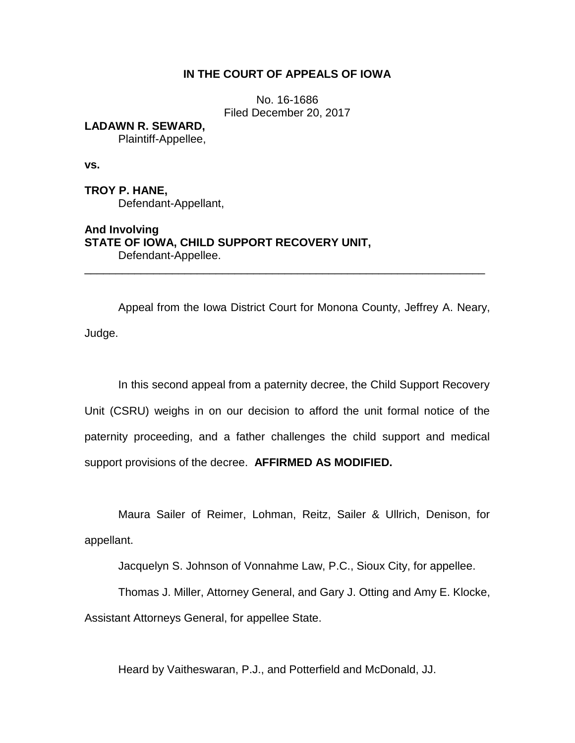# **IN THE COURT OF APPEALS OF IOWA**

No. 16-1686 Filed December 20, 2017

**LADAWN R. SEWARD,** Plaintiff-Appellee,

**vs.**

**TROY P. HANE,** Defendant-Appellant,

**And Involving STATE OF IOWA, CHILD SUPPORT RECOVERY UNIT,** Defendant-Appellee.

Appeal from the Iowa District Court for Monona County, Jeffrey A. Neary, Judge.

\_\_\_\_\_\_\_\_\_\_\_\_\_\_\_\_\_\_\_\_\_\_\_\_\_\_\_\_\_\_\_\_\_\_\_\_\_\_\_\_\_\_\_\_\_\_\_\_\_\_\_\_\_\_\_\_\_\_\_\_\_\_\_\_

In this second appeal from a paternity decree, the Child Support Recovery Unit (CSRU) weighs in on our decision to afford the unit formal notice of the paternity proceeding, and a father challenges the child support and medical support provisions of the decree. **AFFIRMED AS MODIFIED.**

Maura Sailer of Reimer, Lohman, Reitz, Sailer & Ullrich, Denison, for appellant.

Jacquelyn S. Johnson of Vonnahme Law, P.C., Sioux City, for appellee.

Thomas J. Miller, Attorney General, and Gary J. Otting and Amy E. Klocke,

Assistant Attorneys General, for appellee State.

Heard by Vaitheswaran, P.J., and Potterfield and McDonald, JJ.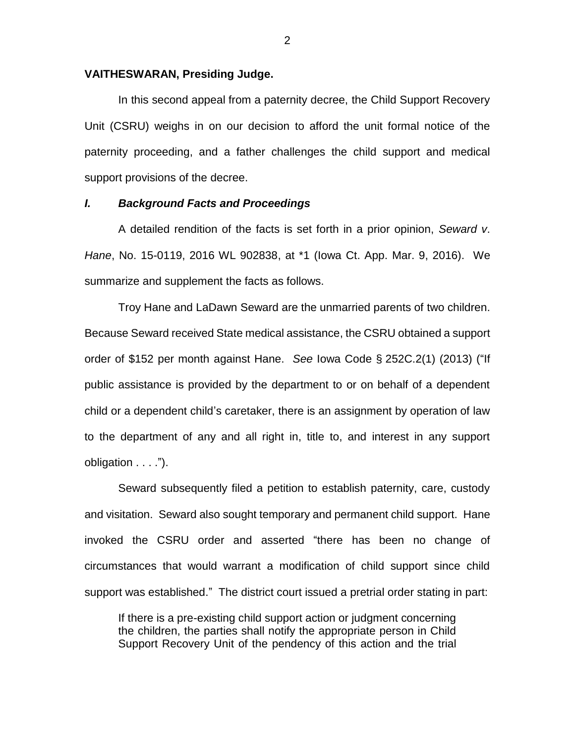### **VAITHESWARAN, Presiding Judge.**

In this second appeal from a paternity decree, the Child Support Recovery Unit (CSRU) weighs in on our decision to afford the unit formal notice of the paternity proceeding, and a father challenges the child support and medical support provisions of the decree.

## *I. Background Facts and Proceedings*

A detailed rendition of the facts is set forth in a prior opinion, *Seward v*. *Hane*, No. 15-0119, 2016 WL 902838, at \*1 (Iowa Ct. App. Mar. 9, 2016). We summarize and supplement the facts as follows.

Troy Hane and LaDawn Seward are the unmarried parents of two children. Because Seward received State medical assistance, the CSRU obtained a support order of \$152 per month against Hane. *See* Iowa Code § 252C.2(1) (2013) ("If public assistance is provided by the department to or on behalf of a dependent child or a dependent child's caretaker, there is an assignment by operation of law to the department of any and all right in, title to, and interest in any support obligation . . . .").

Seward subsequently filed a petition to establish paternity, care, custody and visitation. Seward also sought temporary and permanent child support. Hane invoked the CSRU order and asserted "there has been no change of circumstances that would warrant a modification of child support since child support was established." The district court issued a pretrial order stating in part:

If there is a pre-existing child support action or judgment concerning the children, the parties shall notify the appropriate person in Child Support Recovery Unit of the pendency of this action and the trial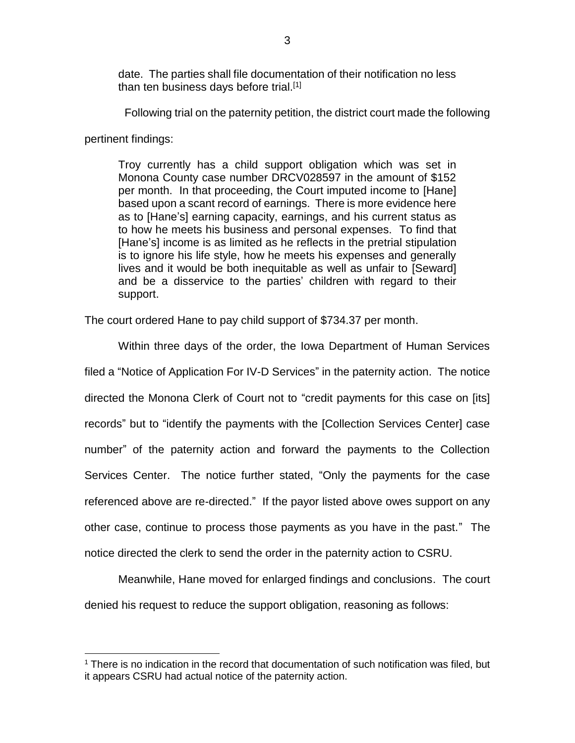date. The parties shall file documentation of their notification no less than ten business days before trial.<sup>[1]</sup>

Following trial on the paternity petition, the district court made the following

pertinent findings:

 $\overline{a}$ 

Troy currently has a child support obligation which was set in Monona County case number DRCV028597 in the amount of \$152 per month. In that proceeding, the Court imputed income to [Hane] based upon a scant record of earnings. There is more evidence here as to [Hane's] earning capacity, earnings, and his current status as to how he meets his business and personal expenses. To find that [Hane's] income is as limited as he reflects in the pretrial stipulation is to ignore his life style, how he meets his expenses and generally lives and it would be both inequitable as well as unfair to [Seward] and be a disservice to the parties' children with regard to their support.

The court ordered Hane to pay child support of \$734.37 per month.

Within three days of the order, the Iowa Department of Human Services filed a "Notice of Application For IV-D Services" in the paternity action. The notice directed the Monona Clerk of Court not to "credit payments for this case on [its] records" but to "identify the payments with the [Collection Services Center] case number" of the paternity action and forward the payments to the Collection Services Center. The notice further stated, "Only the payments for the case referenced above are re-directed." If the payor listed above owes support on any other case, continue to process those payments as you have in the past." The notice directed the clerk to send the order in the paternity action to CSRU.

Meanwhile, Hane moved for enlarged findings and conclusions. The court denied his request to reduce the support obligation, reasoning as follows:

<sup>1</sup> There is no indication in the record that documentation of such notification was filed, but it appears CSRU had actual notice of the paternity action.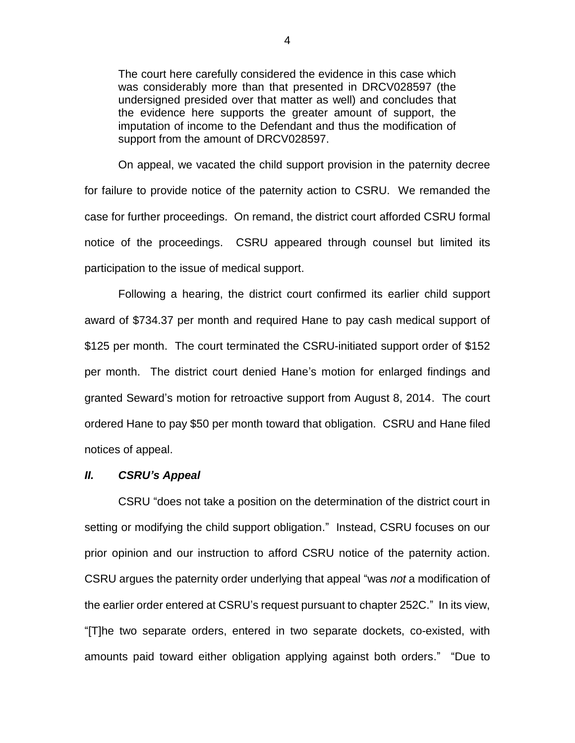The court here carefully considered the evidence in this case which was considerably more than that presented in DRCV028597 (the undersigned presided over that matter as well) and concludes that the evidence here supports the greater amount of support, the imputation of income to the Defendant and thus the modification of support from the amount of DRCV028597.

On appeal, we vacated the child support provision in the paternity decree for failure to provide notice of the paternity action to CSRU. We remanded the case for further proceedings. On remand, the district court afforded CSRU formal notice of the proceedings. CSRU appeared through counsel but limited its participation to the issue of medical support.

Following a hearing, the district court confirmed its earlier child support award of \$734.37 per month and required Hane to pay cash medical support of \$125 per month. The court terminated the CSRU-initiated support order of \$152 per month. The district court denied Hane's motion for enlarged findings and granted Seward's motion for retroactive support from August 8, 2014. The court ordered Hane to pay \$50 per month toward that obligation. CSRU and Hane filed notices of appeal.

## *II. CSRU's Appeal*

CSRU "does not take a position on the determination of the district court in setting or modifying the child support obligation." Instead, CSRU focuses on our prior opinion and our instruction to afford CSRU notice of the paternity action. CSRU argues the paternity order underlying that appeal "was *not* a modification of the earlier order entered at CSRU's request pursuant to chapter 252C." In its view, "[T]he two separate orders, entered in two separate dockets, co-existed, with amounts paid toward either obligation applying against both orders." "Due to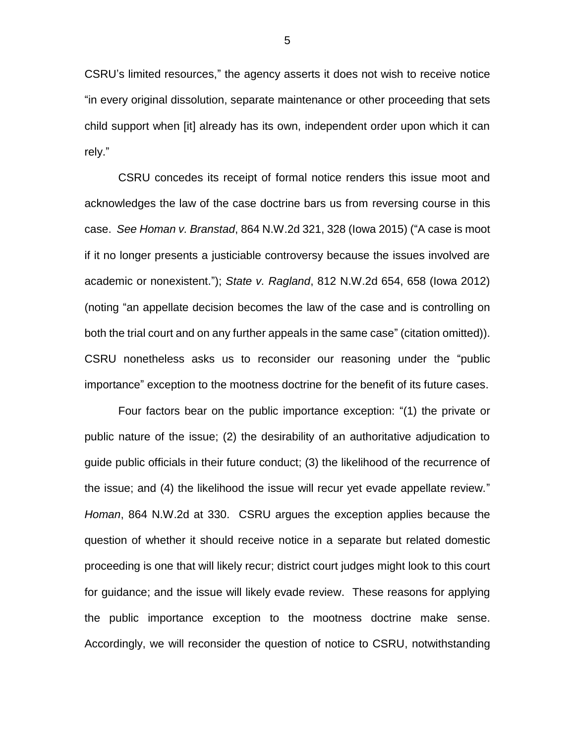CSRU's limited resources," the agency asserts it does not wish to receive notice "in every original dissolution, separate maintenance or other proceeding that sets child support when [it] already has its own, independent order upon which it can rely."

CSRU concedes its receipt of formal notice renders this issue moot and acknowledges the law of the case doctrine bars us from reversing course in this case. *See Homan v. Branstad*, 864 N.W.2d 321, 328 (Iowa 2015) ("A case is moot if it no longer presents a justiciable controversy because the issues involved are academic or nonexistent."); *State v. Ragland*, 812 N.W.2d 654, 658 (Iowa 2012) (noting "an appellate decision becomes the law of the case and is controlling on both the trial court and on any further appeals in the same case" (citation omitted)). CSRU nonetheless asks us to reconsider our reasoning under the "public importance" exception to the mootness doctrine for the benefit of its future cases.

Four factors bear on the public importance exception: "(1) the private or public nature of the issue; (2) the desirability of an authoritative adjudication to guide public officials in their future conduct; (3) the likelihood of the recurrence of the issue; and (4) the likelihood the issue will recur yet evade appellate review." *Homan*, 864 N.W.2d at 330. CSRU argues the exception applies because the question of whether it should receive notice in a separate but related domestic proceeding is one that will likely recur; district court judges might look to this court for guidance; and the issue will likely evade review. These reasons for applying the public importance exception to the mootness doctrine make sense. Accordingly, we will reconsider the question of notice to CSRU, notwithstanding

5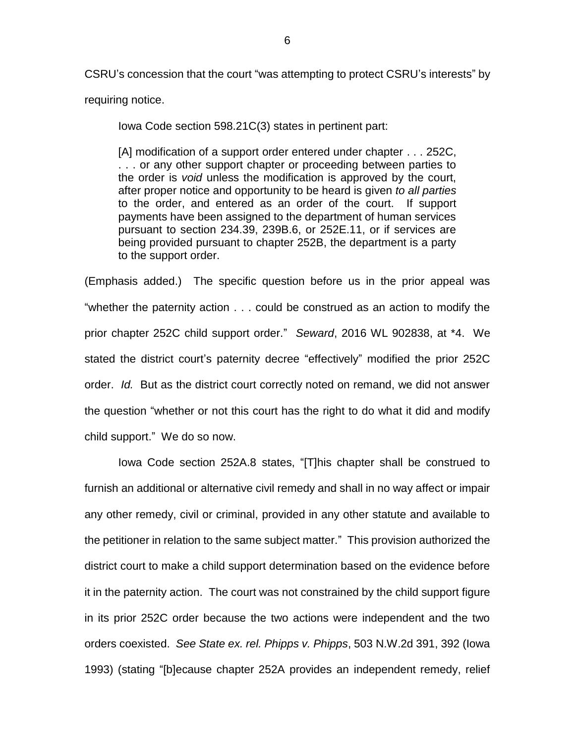CSRU's concession that the court "was attempting to protect CSRU's interests" by requiring notice.

Iowa Code section 598.21C(3) states in pertinent part:

[A] modification of a support order entered under chapter . . . 252C, . . . or any other support chapter or proceeding between parties to the order is *void* unless the modification is approved by the court, after proper notice and opportunity to be heard is given *to all parties* to the order, and entered as an order of the court. If support payments have been assigned to the department of human services pursuant to section 234.39, 239B.6, or 252E.11, or if services are being provided pursuant to chapter 252B, the department is a party to the support order.

(Emphasis added.) The specific question before us in the prior appeal was "whether the paternity action . . . could be construed as an action to modify the prior chapter 252C child support order." *Seward*, 2016 WL 902838, at \*4. We stated the district court's paternity decree "effectively" modified the prior 252C order. *Id.* But as the district court correctly noted on remand, we did not answer the question "whether or not this court has the right to do what it did and modify child support." We do so now.

Iowa Code section 252A.8 states, "[T]his chapter shall be construed to furnish an additional or alternative civil remedy and shall in no way affect or impair any other remedy, civil or criminal, provided in any other statute and available to the petitioner in relation to the same subject matter." This provision authorized the district court to make a child support determination based on the evidence before it in the paternity action. The court was not constrained by the child support figure in its prior 252C order because the two actions were independent and the two orders coexisted. *See State ex. rel. Phipps v. Phipps*, 503 N.W.2d 391, 392 (Iowa 1993) (stating "[b]ecause chapter 252A provides an independent remedy, relief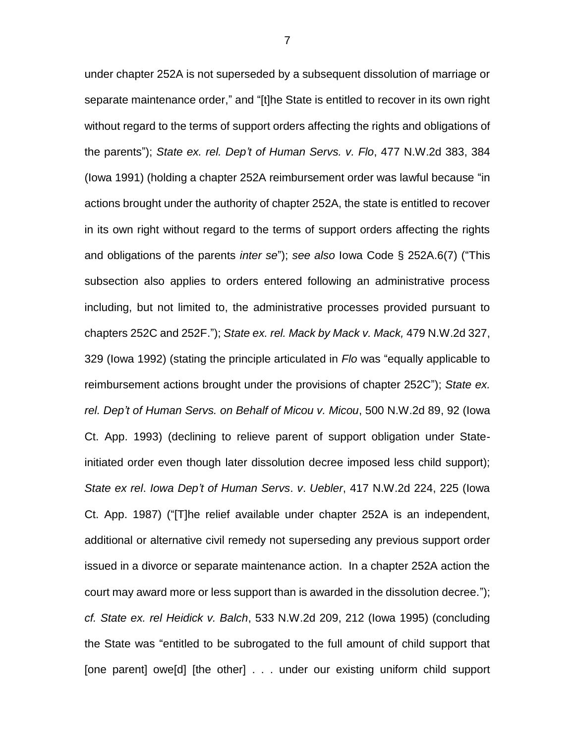under chapter 252A is not superseded by a subsequent dissolution of marriage or separate maintenance order," and "[t]he State is entitled to recover in its own right without regard to the terms of support orders affecting the rights and obligations of the parents"); *State ex. rel. Dep't of Human Servs. v. Flo*, 477 N.W.2d 383, 384 (Iowa 1991) (holding a chapter 252A reimbursement order was lawful because "in actions brought under the authority of chapter 252A, the state is entitled to recover in its own right without regard to the terms of support orders affecting the rights and obligations of the parents *inter se*"); *see also* Iowa Code § 252A.6(7) ("This subsection also applies to orders entered following an administrative process including, but not limited to, the administrative processes provided pursuant to chapters 252C and 252F."); *State ex. rel. Mack by Mack v. Mack,* 479 N.W.2d 327, 329 (Iowa 1992) (stating the principle articulated in *Flo* was "equally applicable to reimbursement actions brought under the provisions of chapter 252C"); *State ex. rel. Dep't of Human Servs. on Behalf of Micou v. Micou*, 500 N.W.2d 89, 92 (Iowa Ct. App. 1993) (declining to relieve parent of support obligation under Stateinitiated order even though later dissolution decree imposed less child support); *State ex rel*. *Iowa Dep't of Human Servs*. *v*. *Uebler*, 417 N.W.2d 224, 225 (Iowa Ct. App. 1987) ("[T]he relief available under chapter 252A is an independent, additional or alternative civil remedy not superseding any previous support order issued in a divorce or separate maintenance action. In a chapter 252A action the court may award more or less support than is awarded in the dissolution decree."); *cf. State ex. rel Heidick v. Balch*, 533 N.W.2d 209, 212 (Iowa 1995) (concluding the State was "entitled to be subrogated to the full amount of child support that [one parent] owe[d] [the other] . . . under our existing uniform child support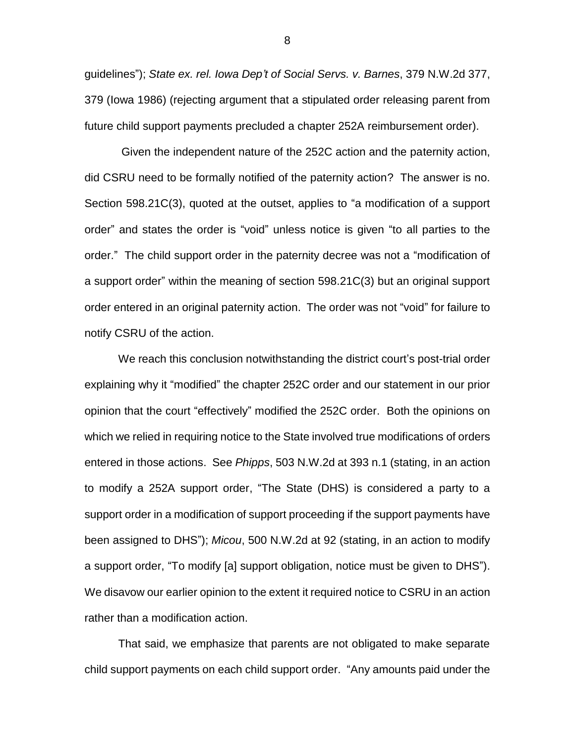guidelines"); *State ex. rel. Iowa Dep't of Social Servs. v. Barnes*, 379 N.W.2d 377, 379 (Iowa 1986) (rejecting argument that a stipulated order releasing parent from future child support payments precluded a chapter 252A reimbursement order).

Given the independent nature of the 252C action and the paternity action, did CSRU need to be formally notified of the paternity action? The answer is no. Section 598.21C(3), quoted at the outset, applies to "a modification of a support order" and states the order is "void" unless notice is given "to all parties to the order." The child support order in the paternity decree was not a "modification of a support order" within the meaning of section 598.21C(3) but an original support order entered in an original paternity action. The order was not "void" for failure to notify CSRU of the action.

We reach this conclusion notwithstanding the district court's post-trial order explaining why it "modified" the chapter 252C order and our statement in our prior opinion that the court "effectively" modified the 252C order. Both the opinions on which we relied in requiring notice to the State involved true modifications of orders entered in those actions. See *Phipps*, 503 N.W.2d at 393 n.1 (stating, in an action to modify a 252A support order, "The State (DHS) is considered a party to a support order in a modification of support proceeding if the support payments have been assigned to DHS"); *Micou*, 500 N.W.2d at 92 (stating, in an action to modify a support order, "To modify [a] support obligation, notice must be given to DHS"). We disavow our earlier opinion to the extent it required notice to CSRU in an action rather than a modification action.

That said, we emphasize that parents are not obligated to make separate child support payments on each child support order. "Any amounts paid under the

8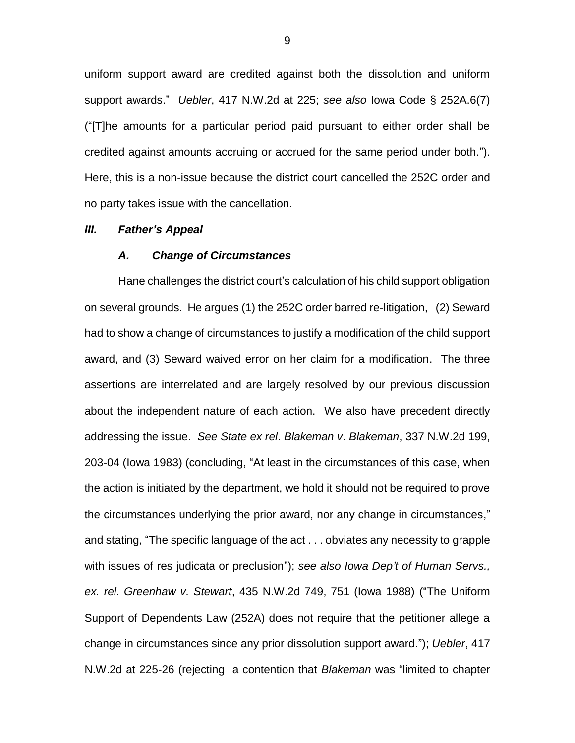uniform support award are credited against both the dissolution and uniform support awards." *Uebler*, 417 N.W.2d at 225; *see also* Iowa Code § 252A.6(7) ("[T]he amounts for a particular period paid pursuant to either order shall be credited against amounts accruing or accrued for the same period under both."). Here, this is a non-issue because the district court cancelled the 252C order and no party takes issue with the cancellation.

#### *III. Father's Appeal*

### *A. Change of Circumstances*

Hane challenges the district court's calculation of his child support obligation on several grounds. He argues (1) the 252C order barred re-litigation, (2) Seward had to show a change of circumstances to justify a modification of the child support award, and (3) Seward waived error on her claim for a modification. The three assertions are interrelated and are largely resolved by our previous discussion about the independent nature of each action. We also have precedent directly addressing the issue. *See State ex rel*. *Blakeman v*. *Blakeman*, 337 N.W.2d 199, 203-04 (Iowa 1983) (concluding, "At least in the circumstances of this case, when the action is initiated by the department, we hold it should not be required to prove the circumstances underlying the prior award, nor any change in circumstances," and stating, "The specific language of the act . . . obviates any necessity to grapple with issues of res judicata or preclusion"); *see also Iowa Dep't of Human Servs., ex. rel. Greenhaw v. Stewart*, 435 N.W.2d 749, 751 (Iowa 1988) ("The Uniform Support of Dependents Law (252A) does not require that the petitioner allege a change in circumstances since any prior dissolution support award."); *Uebler*, 417 N.W.2d at 225-26 (rejecting a contention that *Blakeman* was "limited to chapter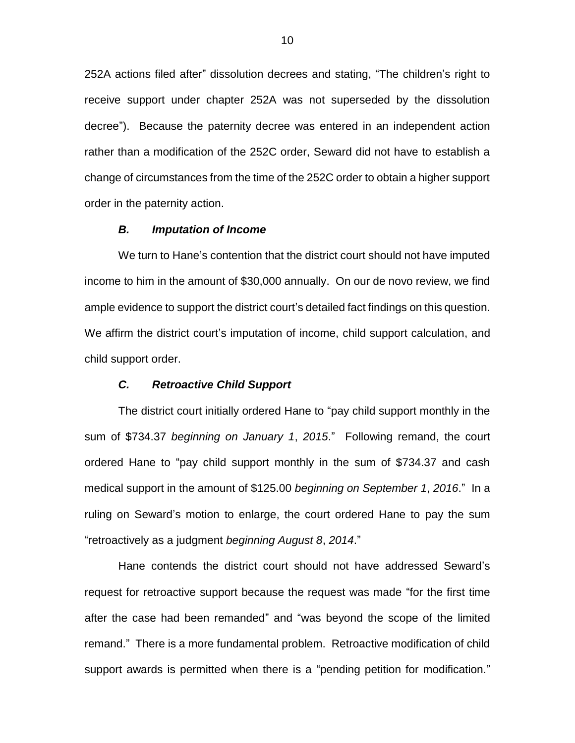252A actions filed after" dissolution decrees and stating, "The children's right to receive support under chapter 252A was not superseded by the dissolution decree").Because the paternity decree was entered in an independent action rather than a modification of the 252C order, Seward did not have to establish a change of circumstances from the time of the 252C order to obtain a higher support order in the paternity action.

#### *B. Imputation of Income*

We turn to Hane's contention that the district court should not have imputed income to him in the amount of \$30,000 annually. On our de novo review, we find ample evidence to support the district court's detailed fact findings on this question. We affirm the district court's imputation of income, child support calculation, and child support order.

## *C. Retroactive Child Support*

The district court initially ordered Hane to "pay child support monthly in the sum of \$734.37 *beginning on January 1*, *2015*." Following remand, the court ordered Hane to "pay child support monthly in the sum of \$734.37 and cash medical support in the amount of \$125.00 *beginning on September 1*, *2016*." In a ruling on Seward's motion to enlarge, the court ordered Hane to pay the sum "retroactively as a judgment *beginning August 8*, *2014*."

Hane contends the district court should not have addressed Seward's request for retroactive support because the request was made "for the first time after the case had been remanded" and "was beyond the scope of the limited remand." There is a more fundamental problem. Retroactive modification of child support awards is permitted when there is a "pending petition for modification."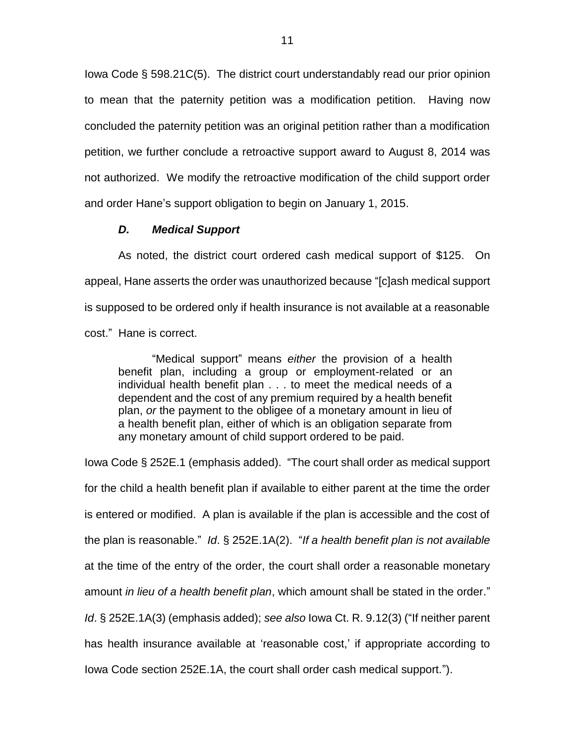Iowa Code § 598.21C(5). The district court understandably read our prior opinion to mean that the paternity petition was a modification petition. Having now concluded the paternity petition was an original petition rather than a modification petition, we further conclude a retroactive support award to August 8, 2014 was not authorized. We modify the retroactive modification of the child support order and order Hane's support obligation to begin on January 1, 2015.

### *D. Medical Support*

As noted, the district court ordered cash medical support of \$125. On appeal, Hane asserts the order was unauthorized because "[c]ash medical support is supposed to be ordered only if health insurance is not available at a reasonable cost." Hane is correct.

"Medical support" means *either* the provision of a health benefit plan, including a group or employment-related or an individual health benefit plan . . . to meet the medical needs of a dependent and the cost of any premium required by a health benefit plan, *or* the payment to the obligee of a monetary amount in lieu of a health benefit plan, either of which is an obligation separate from any monetary amount of child support ordered to be paid.

Iowa Code § 252E.1 (emphasis added). "The court shall order as medical support for the child a health benefit plan if available to either parent at the time the order is entered or modified. A plan is available if the plan is accessible and the cost of the plan is reasonable." *Id*. § 252E.1A(2). "*If a health benefit plan is not available* at the time of the entry of the order, the court shall order a reasonable monetary amount *in lieu of a health benefit plan*, which amount shall be stated in the order." *Id*. § 252E.1A(3) (emphasis added); *see also* Iowa Ct. R. 9.12(3) ("If neither parent has health insurance available at 'reasonable cost,' if appropriate according to Iowa Code section 252E.1A, the court shall order cash medical support.").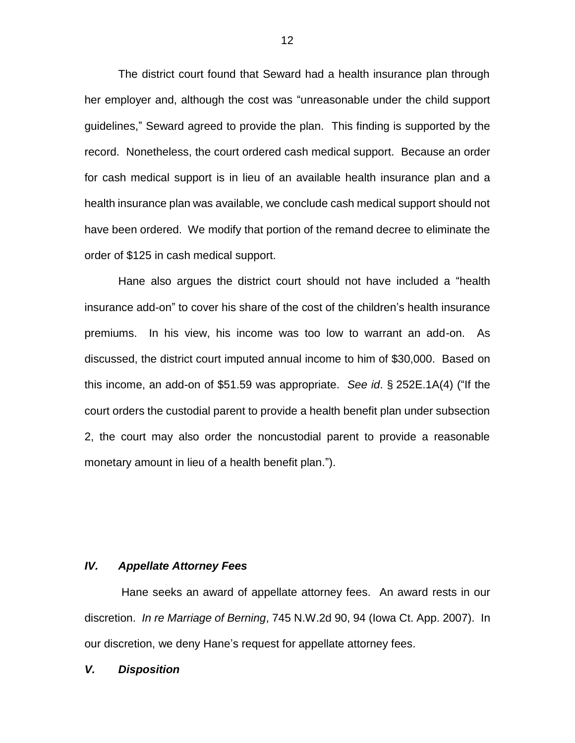The district court found that Seward had a health insurance plan through her employer and, although the cost was "unreasonable under the child support guidelines," Seward agreed to provide the plan. This finding is supported by the record. Nonetheless, the court ordered cash medical support. Because an order for cash medical support is in lieu of an available health insurance plan and a health insurance plan was available, we conclude cash medical support should not have been ordered. We modify that portion of the remand decree to eliminate the order of \$125 in cash medical support.

Hane also argues the district court should not have included a "health insurance add-on" to cover his share of the cost of the children's health insurance premiums. In his view, his income was too low to warrant an add-on. As discussed, the district court imputed annual income to him of \$30,000. Based on this income, an add-on of \$51.59 was appropriate. *See id*. § 252E.1A(4) ("If the court orders the custodial parent to provide a health benefit plan under subsection 2, the court may also order the noncustodial parent to provide a reasonable monetary amount in lieu of a health benefit plan.").

# *IV. Appellate Attorney Fees*

Hane seeks an award of appellate attorney fees. An award rests in our discretion. *In re Marriage of Berning*, 745 N.W.2d 90, 94 (Iowa Ct. App. 2007). In our discretion, we deny Hane's request for appellate attorney fees.

#### *V. Disposition*